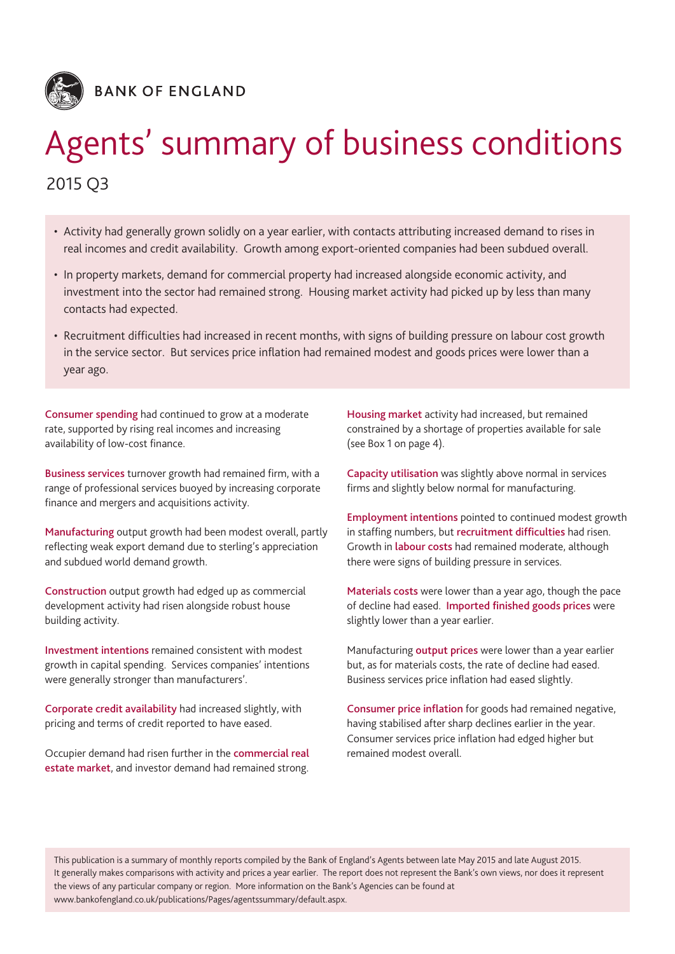

# Agents' summary of business conditions

2015 Q3

- Activity had generally grown solidly on a year earlier, with contacts attributing increased demand to rises in real incomes and credit availability. Growth among export-oriented companies had been subdued overall.
- In property markets, demand for commercial property had increased alongside economic activity, and investment into the sector had remained strong. Housing market activity had picked up by less than many contacts had expected.
- Recruitment difficulties had increased in recent months, with signs of building pressure on labour cost growth in the service sector. But services price inflation had remained modest and goods prices were lower than a year ago.

**Consumer spending** had continued to grow at a moderate rate, supported by rising real incomes and increasing availability of low-cost finance.

**Business services** turnover growth had remained firm, with a range of professional services buoyed by increasing corporate finance and mergers and acquisitions activity.

**Manufacturing** output growth had been modest overall, partly reflecting weak export demand due to sterling's appreciation and subdued world demand growth.

**Construction** output growth had edged up as commercial development activity had risen alongside robust house building activity.

**Investment intentions** remained consistent with modest growth in capital spending. Services companies' intentions were generally stronger than manufacturers'.

**Corporate credit availability** had increased slightly, with pricing and terms of credit reported to have eased.

Occupier demand had risen further in the **commercial real estate market**, and investor demand had remained strong. **Housing market** activity had increased, but remained constrained by a shortage of properties available for sale (see Box 1 on page 4).

**Capacity utilisation** was slightly above normal in services firms and slightly below normal for manufacturing.

**Employment intentions** pointed to continued modest growth in staffing numbers, but **recruitment difficulties** had risen. Growth in **labour costs** had remained moderate, although there were signs of building pressure in services.

**Materials costs** were lower than a year ago, though the pace of decline had eased. **Imported finished goods prices** were slightly lower than a year earlier.

Manufacturing **output prices** were lower than a year earlier but, as for materials costs, the rate of decline had eased. Business services price inflation had eased slightly.

**Consumer price inflation** for goods had remained negative, having stabilised after sharp declines earlier in the year. Consumer services price inflation had edged higher but remained modest overall.

This publication is a summary of monthly reports compiled by the Bank of England's Agents between late May 2015 and late August 2015. It generally makes comparisons with activity and prices a year earlier. The report does not represent the Bank's own views, nor does it represent the views of any particular company or region. More information on the Bank's Agencies can be found at www.bankofengland.co.uk/publications/Pages/agentssummary/default.aspx.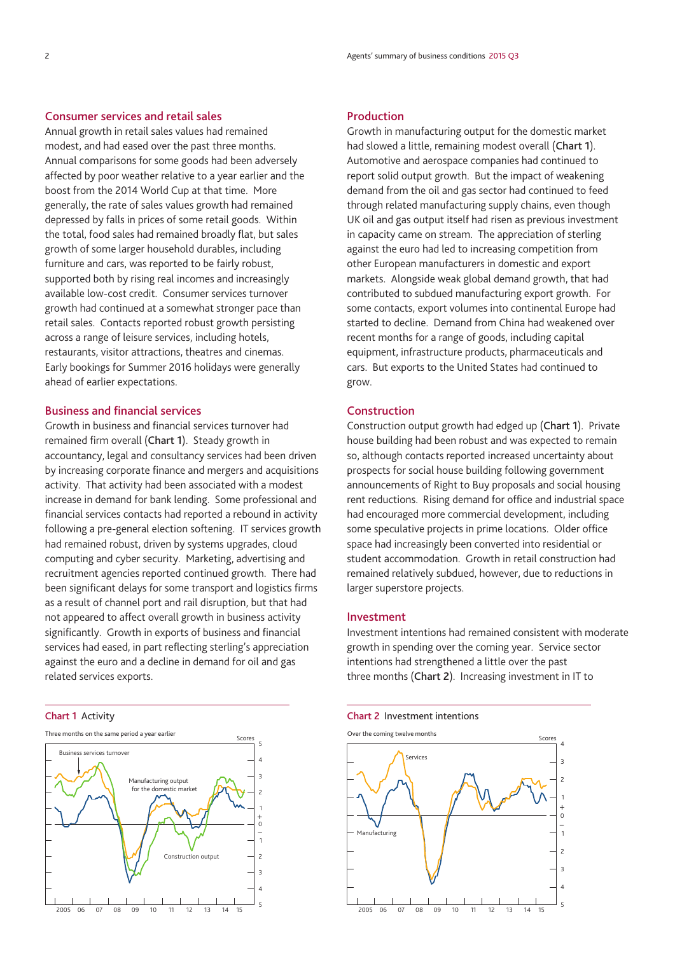## **Consumer services and retail sales**

Annual growth in retail sales values had remained modest, and had eased over the past three months. Annual comparisons for some goods had been adversely affected by poor weather relative to a year earlier and the boost from the 2014 World Cup at that time. More generally, the rate of sales values growth had remained depressed by falls in prices of some retail goods. Within the total, food sales had remained broadly flat, but sales growth of some larger household durables, including furniture and cars, was reported to be fairly robust, supported both by rising real incomes and increasingly available low-cost credit. Consumer services turnover growth had continued at a somewhat stronger pace than retail sales. Contacts reported robust growth persisting across a range of leisure services, including hotels, restaurants, visitor attractions, theatres and cinemas. Early bookings for Summer 2016 holidays were generally ahead of earlier expectations.

## **Business and financial services**

Growth in business and financial services turnover had remained firm overall (**Chart 1**). Steady growth in accountancy, legal and consultancy services had been driven by increasing corporate finance and mergers and acquisitions activity. That activity had been associated with a modest increase in demand for bank lending. Some professional and financial services contacts had reported a rebound in activity following a pre-general election softening. IT services growth had remained robust, driven by systems upgrades, cloud computing and cyber security. Marketing, advertising and recruitment agencies reported continued growth. There had been significant delays for some transport and logistics firms as a result of channel port and rail disruption, but that had not appeared to affect overall growth in business activity significantly. Growth in exports of business and financial services had eased, in part reflecting sterling's appreciation against the euro and a decline in demand for oil and gas related services exports.

### **Chart 1** Activity



## **Production**

Growth in manufacturing output for the domestic market had slowed a little, remaining modest overall (**Chart 1**). Automotive and aerospace companies had continued to report solid output growth. But the impact of weakening demand from the oil and gas sector had continued to feed through related manufacturing supply chains, even though UK oil and gas output itself had risen as previous investment in capacity came on stream. The appreciation of sterling against the euro had led to increasing competition from other European manufacturers in domestic and export markets. Alongside weak global demand growth, that had contributed to subdued manufacturing export growth. For some contacts, export volumes into continental Europe had started to decline. Demand from China had weakened over recent months for a range of goods, including capital equipment, infrastructure products, pharmaceuticals and cars. But exports to the United States had continued to grow.

## **Construction**

Construction output growth had edged up (**Chart 1**). Private house building had been robust and was expected to remain so, although contacts reported increased uncertainty about prospects for social house building following government announcements of Right to Buy proposals and social housing rent reductions. Rising demand for office and industrial space had encouraged more commercial development, including some speculative projects in prime locations. Older office space had increasingly been converted into residential or student accommodation. Growth in retail construction had remained relatively subdued, however, due to reductions in larger superstore projects.

## **Investment**

Investment intentions had remained consistent with moderate growth in spending over the coming year. Service sector intentions had strengthened a little over the past three months (**Chart 2**). Increasing investment in IT to

#### **Chart 2** Investment intentions

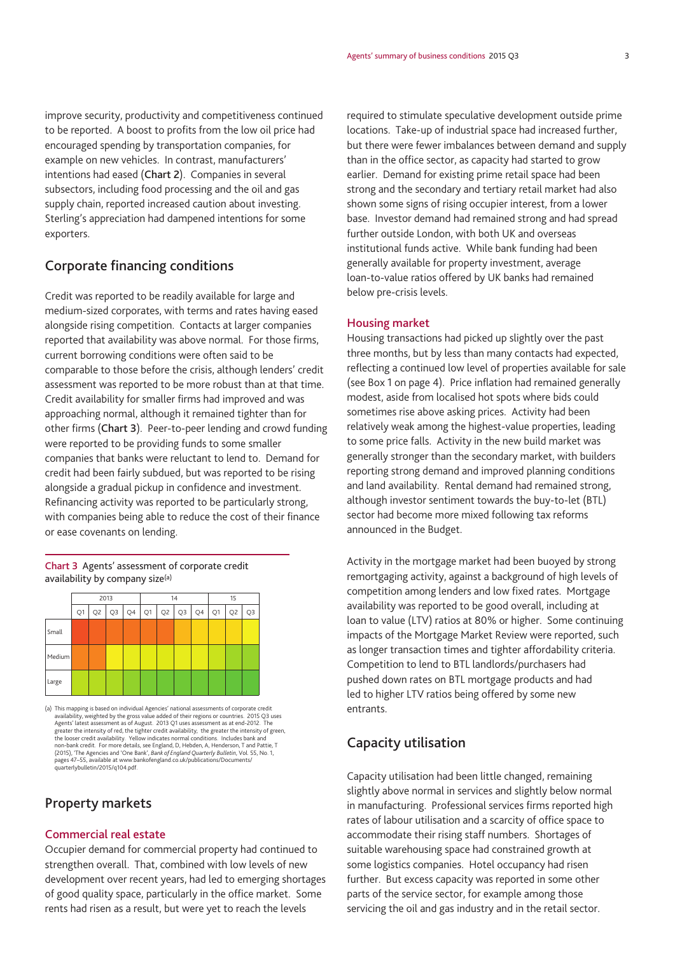improve security, productivity and competitiveness continued to be reported. A boost to profits from the low oil price had encouraged spending by transportation companies, for example on new vehicles. In contrast, manufacturers' intentions had eased (**Chart 2**). Companies in several subsectors, including food processing and the oil and gas supply chain, reported increased caution about investing. Sterling's appreciation had dampened intentions for some exporters.

# **Corporate financing conditions**

Credit was reported to be readily available for large and medium-sized corporates, with terms and rates having eased alongside rising competition. Contacts at larger companies reported that availability was above normal. For those firms, current borrowing conditions were often said to be comparable to those before the crisis, although lenders' credit assessment was reported to be more robust than at that time. Credit availability for smaller firms had improved and was approaching normal, although it remained tighter than for other firms (**Chart 3**). Peer-to-peer lending and crowd funding were reported to be providing funds to some smaller companies that banks were reluctant to lend to. Demand for credit had been fairly subdued, but was reported to be rising alongside a gradual pickup in confidence and investment. Refinancing activity was reported to be particularly strong, with companies being able to reduce the cost of their finance or ease covenants on lending.

## **Chart 3** Agents' assessment of corporate credit availability by company size(a)



(a) This mapping is based on individual Agencies' national assessments of corporate credit availability, weighted by the gross value added of their regions or countries. 2015 Q3 uses Agents' latest assessment as of August. 2013 Q1 uses assessment as at end-2012. The greater the intensity of red, the tighter credit availability; the greater the intensity of green, the looser credit availability. Yellow indicates normal conditions. Includes bank and non-bank credit. For more details, see England, D, Hebden, A, Henderson, T and Pattie, T (2015), 'The Agencies and 'One Bank', *Bank of England Quarterly Bulletin*, Vol. 55, No. 1, pages 47–55, available at [www.bankofengland.co.uk/publications/Documents/](www.bankofengland.co.uk/publications/Documents/quarterlybulletin/2015/q104.pdf) [quarterlybulletin/2015/q104.pdf.](www.bankofengland.co.uk/publications/Documents/quarterlybulletin/2015/q104.pdf)

# **Property markets**

## **Commercial real estate**

Occupier demand for commercial property had continued to strengthen overall. That, combined with low levels of new development over recent years, had led to emerging shortages of good quality space, particularly in the office market. Some rents had risen as a result, but were yet to reach the levels

required to stimulate speculative development outside prime locations. Take-up of industrial space had increased further, but there were fewer imbalances between demand and supply than in the office sector, as capacity had started to grow earlier. Demand for existing prime retail space had been strong and the secondary and tertiary retail market had also shown some signs of rising occupier interest, from a lower base. Investor demand had remained strong and had spread further outside London, with both UK and overseas institutional funds active. While bank funding had been generally available for property investment, average loan-to-value ratios offered by UK banks had remained below pre-crisis levels.

## **Housing market**

Housing transactions had picked up slightly over the past three months, but by less than many contacts had expected, reflecting a continued low level of properties available for sale (see Box 1 on page 4). Price inflation had remained generally modest, aside from localised hot spots where bids could sometimes rise above asking prices. Activity had been relatively weak among the highest-value properties, leading to some price falls. Activity in the new build market was generally stronger than the secondary market, with builders reporting strong demand and improved planning conditions and land availability. Rental demand had remained strong, although investor sentiment towards the buy-to-let (BTL) sector had become more mixed following tax reforms announced in the Budget.

Activity in the mortgage market had been buoyed by strong remortgaging activity, against a background of high levels of competition among lenders and low fixed rates. Mortgage availability was reported to be good overall, including at loan to value (LTV) ratios at 80% or higher. Some continuing impacts of the Mortgage Market Review were reported, such as longer transaction times and tighter affordability criteria. Competition to lend to BTL landlords/purchasers had pushed down rates on BTL mortgage products and had led to higher LTV ratios being offered by some new entrants.

## **Capacity utilisation**

Capacity utilisation had been little changed, remaining slightly above normal in services and slightly below normal in manufacturing. Professional services firms reported high rates of labour utilisation and a scarcity of office space to accommodate their rising staff numbers. Shortages of suitable warehousing space had constrained growth at some logistics companies. Hotel occupancy had risen further. But excess capacity was reported in some other parts of the service sector, for example among those servicing the oil and gas industry and in the retail sector.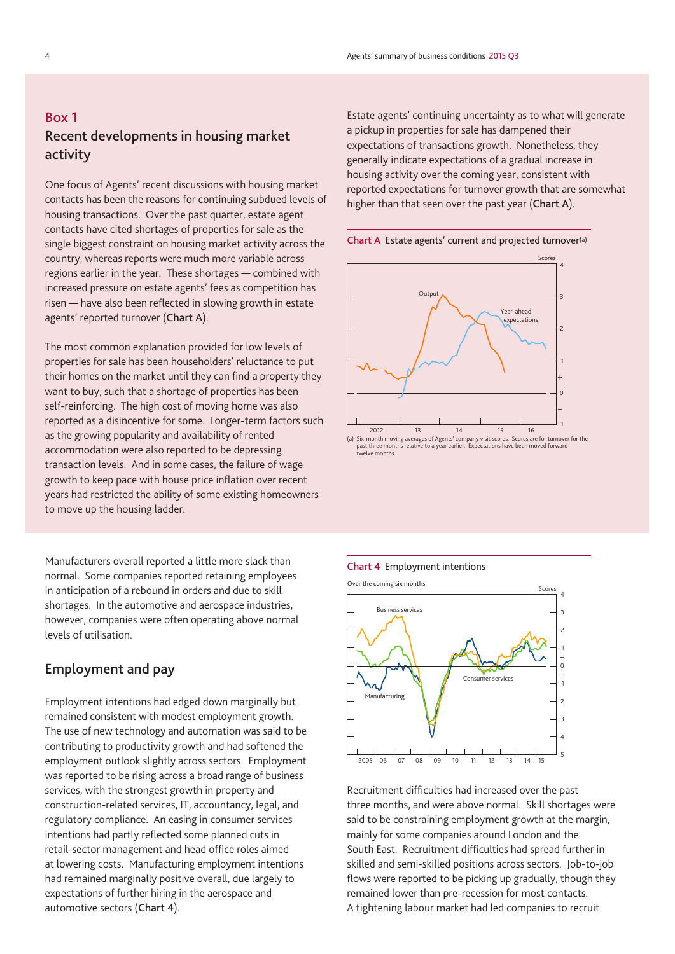# **Box 1 Recent developments in housing market activity**

One focus of Agents' recent discussions with housing market contacts has been the reasons for continuing subdued levels of housing transactions. Over the past quarter, estate agent contacts have cited shortages of properties for sale as the single biggest constraint on housing market activity across the country, whereas reports were much more variable across regions earlier in the year. These shortages — combined with increased pressure on estate agents' fees as competition has risen — have also been reflected in slowing growth in estate agents' reported turnover (**Chart A**).

The most common explanation provided for low levels of properties for sale has been householders' reluctance to put their homes on the market until they can find a property they want to buy, such that a shortage of properties has been self-reinforcing. The high cost of moving home was also reported as a disincentive for some. Longer-term factors such as the growing popularity and availability of rented accommodation were also reported to be depressing transaction levels. And in some cases, the failure of wage growth to keep pace with house price inflation over recent years had restricted the ability of some existing homeowners to move up the housing ladder.

Manufacturers overall reported a little more slack than normal. Some companies reported retaining employees in anticipation of a rebound in orders and due to skill shortages. In the automotive and aerospace industries, however, companies were often operating above normal levels of utilisation.

# **Employment and pay**

Employment intentions had edged down marginally but remained consistent with modest employment growth. The use of new technology and automation was said to be contributing to productivity growth and had softened the employment outlook slightly across sectors. Employment was reported to be rising across a broad range of business services, with the strongest growth in property and construction-related services, IT, accountancy, legal, and regulatory compliance. An easing in consumer services intentions had partly reflected some planned cuts in retail-sector management and head office roles aimed at lowering costs. Manufacturing employment intentions had remained marginally positive overall, due largely to expectations of further hiring in the aerospace and automotive sectors (**Chart 4**).

Estate agents' continuing uncertainty as to what will generate a pickup in properties for sale has dampened their expectations of transactions growth. Nonetheless, they generally indicate expectations of a gradual increase in housing activity over the coming year, consistent with reported expectations for turnover growth that are somewhat higher than that seen over the past year (**Chart A**).





past three months relative to a year earlier. Expectations have been moved forward twelve months.

## **Chart 4** Employment intentions



Recruitment difficulties had increased over the past three months, and were above normal. Skill shortages were said to be constraining employment growth at the margin, mainly for some companies around London and the South East. Recruitment difficulties had spread further in skilled and semi-skilled positions across sectors. Job-to-job flows were reported to be picking up gradually, though they remained lower than pre-recession for most contacts. A tightening labour market had led companies to recruit